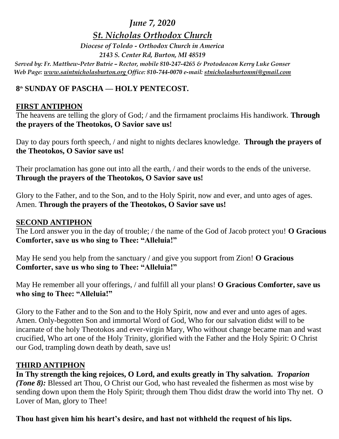## *June 7, 2020 St. Nicholas Orthodox Church*

*Diocese of Toledo - Orthodox Church in America 2143 S. Center Rd, Burton, MI 48519 Served by: Fr. Matthew-Peter Butrie – Rector, mobile 810-247-4265 & Protodeacon Kerry Luke Gonser Web Page: www.saintnicholasburton.org Office: 810-744-0070 e-mail: stnicholasburtonmi@gmail.com*

## **8 th SUNDAY OF PASCHA — HOLY PENTECOST.**

## **FIRST ANTIPHON**

The heavens are telling the glory of God; / and the firmament proclaims His handiwork. **Through the prayers of the Theotokos, O Savior save us!**

Day to day pours forth speech, / and night to nights declares knowledge. **Through the prayers of the Theotokos, O Savior save us!**

Their proclamation has gone out into all the earth, / and their words to the ends of the universe. **Through the prayers of the Theotokos, O Savior save us!**

Glory to the Father, and to the Son, and to the Holy Spirit, now and ever, and unto ages of ages. Amen. **Through the prayers of the Theotokos, O Savior save us!**

## **SECOND ANTIPHON**

The Lord answer you in the day of trouble; / the name of the God of Jacob protect you! **O Gracious Comforter, save us who sing to Thee: "Alleluia!"**

May He send you help from the sanctuary / and give you support from Zion! **O Gracious Comforter, save us who sing to Thee: "Alleluia!"**

May He remember all your offerings, / and fulfill all your plans! **O Gracious Comforter, save us who sing to Thee: "Alleluia!"**

Glory to the Father and to the Son and to the Holy Spirit, now and ever and unto ages of ages. Amen. Only-begotten Son and immortal Word of God, Who for our salvation didst will to be incarnate of the holy Theotokos and ever-virgin Mary, Who without change became man and wast crucified, Who art one of the Holy Trinity, glorified with the Father and the Holy Spirit: O Christ our God, trampling down death by death, save us!

## **THIRD ANTIPHON**

**In Thy strength the king rejoices, O Lord, and exults greatly in Thy salvation.** *Troparion (Tone 8):* Blessed art Thou, O Christ our God, who hast revealed the fishermen as most wise by sending down upon them the Holy Spirit; through them Thou didst draw the world into Thy net. O Lover of Man, glory to Thee!

**Thou hast given him his heart's desire, and hast not withheld the request of his lips.**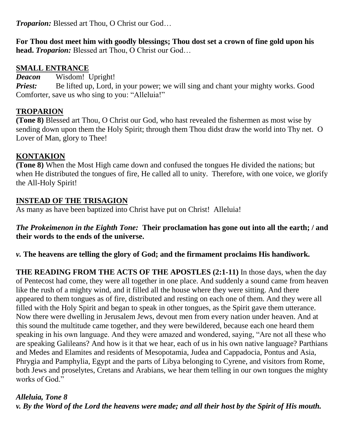*Troparion:* Blessed art Thou, O Christ our God…

**For Thou dost meet him with goodly blessings; Thou dost set a crown of fine gold upon his head.** *Troparion:* Blessed art Thou, O Christ our God…

## **SMALL ENTRANCE**

*Deacon* Wisdom! Upright!

*Priest:* Be lifted up, Lord, in your power; we will sing and chant your mighty works. Good Comforter, save us who sing to you: "Alleluia!"

## **TROPARION**

**(Tone 8)** Blessed art Thou, O Christ our God, who hast revealed the fishermen as most wise by sending down upon them the Holy Spirit; through them Thou didst draw the world into Thy net. O Lover of Man, glory to Thee!

## **KONTAKION**

**(Tone 8)** When the Most High came down and confused the tongues He divided the nations; but when He distributed the tongues of fire, He called all to unity. Therefore, with one voice, we glorify the All-Holy Spirit!

## **INSTEAD OF THE TRISAGION**

As many as have been baptized into Christ have put on Christ! Alleluia!

*The Prokeimenon in the Eighth Tone:* **Their proclamation has gone out into all the earth; / and their words to the ends of the universe.**

*v.* **The heavens are telling the glory of God; and the firmament proclaims His handiwork.**

**THE READING FROM THE ACTS OF THE APOSTLES (2:1-11)** In those days, when the day of Pentecost had come, they were all together in one place. And suddenly a sound came from heaven like the rush of a mighty wind, and it filled all the house where they were sitting. And there appeared to them tongues as of fire, distributed and resting on each one of them. And they were all filled with the Holy Spirit and began to speak in other tongues, as the Spirit gave them utterance. Now there were dwelling in Jerusalem Jews, devout men from every nation under heaven. And at this sound the multitude came together, and they were bewildered, because each one heard them speaking in his own language. And they were amazed and wondered, saying, "Are not all these who are speaking Galileans? And how is it that we hear, each of us in his own native language? Parthians and Medes and Elamites and residents of Mesopotamia, Judea and Cappadocia, Pontus and Asia, Phrygia and Pamphylia, Egypt and the parts of Libya belonging to Cyrene, and visitors from Rome, both Jews and proselytes, Cretans and Arabians, we hear them telling in our own tongues the mighty works of God."

*Alleluia, Tone 8 v. By the Word of the Lord the heavens were made; and all their host by the Spirit of His mouth.*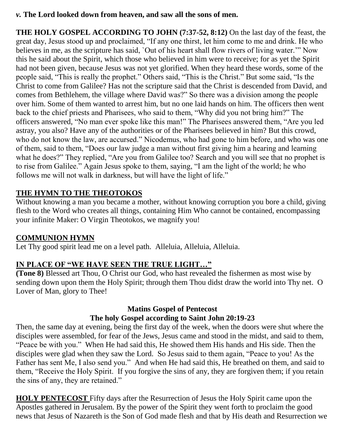## *v.* **The Lord looked down from heaven, and saw all the sons of men.**

**THE HOLY GOSPEL ACCORDING TO JOHN (7:37-52, 8:12)** On the last day of the feast, the great day, Jesus stood up and proclaimed, "If any one thirst, let him come to me and drink. He who believes in me, as the scripture has said, `Out of his heart shall flow rivers of living water.'" Now this he said about the Spirit, which those who believed in him were to receive; for as yet the Spirit had not been given, because Jesus was not yet glorified. When they heard these words, some of the people said, "This is really the prophet." Others said, "This is the Christ." But some said, "Is the Christ to come from Galilee? Has not the scripture said that the Christ is descended from David, and comes from Bethlehem, the village where David was?" So there was a division among the people over him. Some of them wanted to arrest him, but no one laid hands on him. The officers then went back to the chief priests and Pharisees, who said to them, "Why did you not bring him?" The officers answered, "No man ever spoke like this man!" The Pharisees answered them, "Are you led astray, you also? Have any of the authorities or of the Pharisees believed in him? But this crowd, who do not know the law, are accursed." Nicodemus, who had gone to him before, and who was one of them, said to them, "Does our law judge a man without first giving him a hearing and learning what he does?" They replied, "Are you from Galilee too? Search and you will see that no prophet is to rise from Galilee." Again Jesus spoke to them, saying, "I am the light of the world; he who follows me will not walk in darkness, but will have the light of life."

## **THE HYMN TO THE THEOTOKOS**

Without knowing a man you became a mother, without knowing corruption you bore a child, giving flesh to the Word who creates all things, containing Him Who cannot be contained, encompassing your infinite Maker: O Virgin Theotokos, we magnify you!

## **COMMUNION HYMN**

Let Thy good spirit lead me on a level path. Alleluia, Alleluia, Alleluia.

## **IN PLACE OF "WE HAVE SEEN THE TRUE LIGHT…"**

**(Tone 8)** Blessed art Thou, O Christ our God, who hast revealed the fishermen as most wise by sending down upon them the Holy Spirit; through them Thou didst draw the world into Thy net. O Lover of Man, glory to Thee!

### **Matins Gospel of Pentecost The holy Gospel according to Saint John 20:19-23**

Then, the same day at evening, being the first day of the week, when the doors were shut where the disciples were assembled, for fear of the Jews, Jesus came and stood in the midst, and said to them, "Peace be with you."When He had said this, He showed them His hands and His side. Then the disciples were glad when they saw the Lord.So Jesus said to them again, "Peace to you! As the Father has sent Me, I also send you."And when He had said this, He breathed on them, and said to them, "Receive the Holy Spirit.If you forgive the sins of any, they are forgiven them; if you retain the sins of any, they are retained."

**HOLY PENTECOST** Fifty days after the Resurrection of Jesus the Holy Spirit came upon the Apostles gathered in Jerusalem. By the power of the Spirit they went forth to proclaim the good news that Jesus of Nazareth is the Son of God made flesh and that by His death and Resurrection we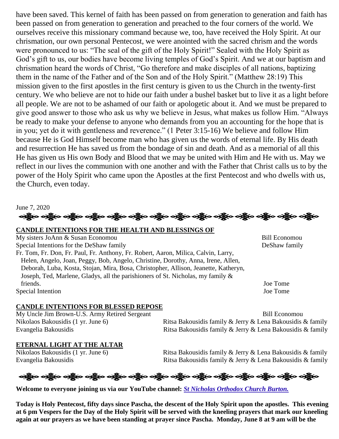have been saved. This kernel of faith has been passed on from generation to generation and faith has been passed on from generation to generation and preached to the four corners of the world. We ourselves receive this missionary command because we, too, have received the Holy Spirit. At our chrismation, our own personal Pentecost, we were anointed with the sacred chrism and the words were pronounced to us: "The seal of the gift of the Holy Spirit!" Sealed with the Holy Spirit as God's gift to us, our bodies have become living temples of God's Spirit. And we at our baptism and chrismation heard the words of Christ, "Go therefore and make disciples of all nations, baptizing them in the name of the Father and of the Son and of the Holy Spirit." (Matthew 28:19) This mission given to the first apostles in the first century is given to us the Church in the twenty-first century. We who believe are not to hide our faith under a bushel basket but to live it as a light before all people. We are not to be ashamed of our faith or apologetic about it. And we must be prepared to give good answer to those who ask us why we believe in Jesus, what makes us follow Him. "Always be ready to make your defense to anyone who demands from you an accounting for the hope that is in you; yet do it with gentleness and reverence." (1 Peter 3:15-16) We believe and follow Him because He is God Himself become man who has given us the words of eternal life. By His death and resurrection He has saved us from the bondage of sin and death. And as a memorial of all this He has given us His own Body and Blood that we may be united with Him and He with us. May we reflect in our lives the communion with one another and with the Father that Christ calls us to by the power of the Holy Spirit who came upon the Apostles at the first Pentecost and who dwells with us, the Church, even today.

June 7, 2020

န္ကိုးေခါင္ဆိုးေခါင္ဆိုးေခါင္း တစ္သိုးေခါင္း ခါင္း အိမ္ေခါင္း အိမ္ေခါင္း အိမ္ေခါင္း အိမ္ေခါင္း

#### **CANDLE INTENTIONS FOR THE HEALTH AND BLESSINGS OF**

My sisters JoAnn & Susan Economou Bill Economou Special Intentions for the DeShaw family DeShaw family DeShaw family Fr. Tom, Fr. Don, Fr. Paul, Fr. Anthony, Fr. Robert, Aaron, Milica, Calvin, Larry, Helen, Angelo, Joan, Peggy, Bob, Angelo, Christine, Dorothy, Anna, Irene, Allen, Deborah, Luba, Kosta, Stojan, Mira, Bosa, Christopher, Allison, Jeanette, Katheryn, Joseph, Ted, Marlene, Gladys, all the parishioners of St. Nicholas, my family & friends. Joe Tome Special Intention Joe Tome

#### **CANDLE INTENTIONS FOR BLESSED REPOSE**

My Uncle Jim Brown-U.S. Army Retired Sergeant Bill Economou

Nikolaos Bakousidis (1 yr. June 6) Ritsa Bakousidis family & Jerry & Lena Bakousidis & family Evangelia Bakousidis Ritsa Bakousidis family & Jerry & Lena Bakousidis & family

#### **ETERNAL LIGHT AT THE ALTAR**

Nikolaos Bakousidis (1 yr. June 6) Ritsa Bakousidis family & Jerry & Lena Bakousidis & family Evangelia Bakousidis Ritsa Bakousidis family & Jerry & Lena Bakousidis & family

ခရွို့က ခရွိက ခရွိက သို့သော သို့သူ သည်ဟု ခရွိက ခရွိက သည်ဟု ခရွိက သည်ဟု ခရွိက ခရွိက သည်ဟု ခရွိက

**Welcome to everyone joining us via our YouTube channel:** *[St Nicholas Orthodox Church Burton.](https://www.youtube.com/channel/UC59tV-Re443z-GCoETAUvfA)* 

**Today is Holy Pentecost, fifty days since Pascha, the descent of the Holy Spirit upon the apostles. This evening at 6 pm Vespers for the Day of the Holy Spirit will be served with the kneeling prayers that mark our kneeling again at our prayers as we have been standing at prayer since Pascha. Monday, June 8 at 9 am will be the**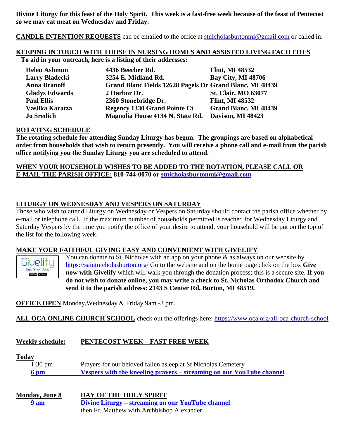**Divine Liturgy for this feast of the Holy Spirit. This week is a fast-free week because of the feast of Pentecost so we may eat meat on Wednesday and Friday.**

**CANDLE INTENTION REQUESTS** can be emailed to the office at [stnicholasburtonmi@gmail.com](mailto:stnicholasburtonmi@gmail.com) or called in.

#### **KEEPING IN TOUCH WITH THOSE IN NURSING HOMES AND ASSISTED LIVING FACILITIES**

**To aid in your outreach, here is a listing of their addresses:**

| <b>Helen Ashmun</b>   | 4436 Beecher Rd.                                         | <b>Flint, MI 48532</b>       |
|-----------------------|----------------------------------------------------------|------------------------------|
| <b>Larry Bladecki</b> | 3254 E. Midland Rd.                                      | <b>Bay City, MI 48706</b>    |
| <b>Anna Branoff</b>   | Grand Blanc Fields 12628 Pagels Dr Grand Blanc, MI 48439 |                              |
| <b>Gladys Edwards</b> | 2 Harbor Dr.                                             | <b>St. Clair, MO 63077</b>   |
| <b>Paul Ellis</b>     | 2360 Stonebridge Dr.                                     | <b>Flint, MI 48532</b>       |
| Vasilka Karatza       | <b>Regency 1330 Grand Pointe Ct</b>                      | <b>Grand Blanc, MI 48439</b> |
| <b>Jo Sredich</b>     | Magnolia House 4134 N. State Rd.                         | Davison, MI 48423            |

#### **ROTATING SCHEDULE**

**The rotating schedule for attending Sunday Liturgy has begun. The groupings are based on alphabetical order from households that wish to return presently. You will receive a phone call and e-mail from the parish office notifying you the Sunday Liturgy you are scheduled to attend.** 

#### **WHEN YOUR HOUSEHOLD WISHES TO BE ADDED TO THE ROTATION, PLEASE CALL OR E-MAIL THE PARISH OFFICE: 810-744-0070 or [stnicholasburtonmi@gmail.com](mailto:stnicholasburtonmi@gmail.com)**

#### **LITURGY ON WEDNESDAY AND VESPERS ON SATURDAY**

Those who wish to attend Liturgy on Wednesday or Vespers on Saturday should contact the parish office whether by e-mail or telephone call. If the maximum number of households permitted is reached for Wednesday Liturgy and Saturday Vespers by the time you notify the office of your desire to attend, your household will be put on the top of the list for the following week.

#### **MAKE YOUR FAITHFUL GIVING EASY AND CONVENIENT WITH GIVELIFY**



You can donate to St. Nicholas with an app on your phone  $\&$  as always on our website by <https://saintnicholasburton.org/> Go to the website and on the home page click on the box **Give now with Givelify** which will walk you through the donation process; this is a secure site. **If you do not wish to donate online, you may write a check to St. Nicholas Orthodox Church and send it to the parish address: 2143 S Center Rd, Burton, MI 48519.**

**OFFICE OPEN** Monday,Wednesday & Friday 9am -3 pm.

**ALL OCA ONLINE CHURCH SCHOOL** check out the offerings here:<https://www.oca.org/all-oca-church-school>

#### **Weekly schedule: PENTECOST WEEK – FAST FREE WEEK**

#### **Today**

| $1:30 \text{ pm}$ | Prayers for our beloved fallen asleep at St Nicholas Cemetery        |
|-------------------|----------------------------------------------------------------------|
| 6 pm              | Vespers with the kneeling prayers – streaming on our YouTube channel |

| <b>Monday, June 8</b> | DAY OF THE HOLY SPIRIT                            |  |
|-----------------------|---------------------------------------------------|--|
| 9 <sub>am</sub>       | Divine Liturgy – streaming on our YouTube channel |  |
|                       | then Fr. Matthew with Archbishop Alexander        |  |